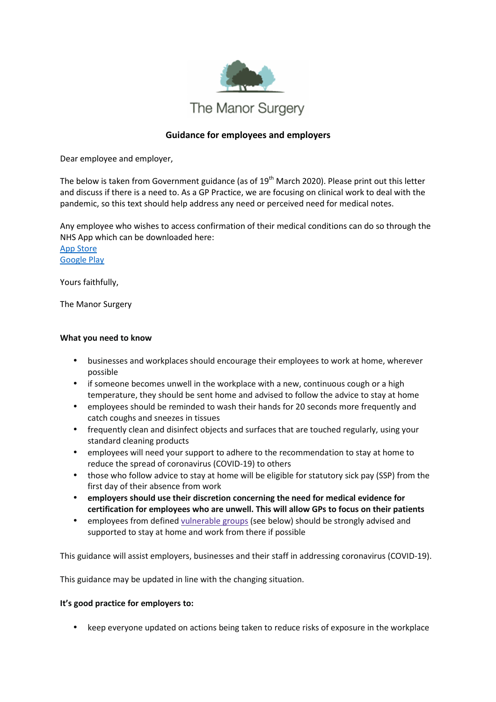

## **Guidance for employees and employers**

Dear employee and employer,

The below is taken from Government guidance (as of 19<sup>th</sup> March 2020). Please print out this letter and discuss if there is a need to. As a GP Practice, we are focusing on clinical work to deal with the pandemic, so this text should help address any need or perceived need for medical notes.

Any employee who wishes to access confirmation of their medical conditions can do so through the NHS App which can be downloaded here:

App Store Google Play

Yours faithfully,

The Manor Surgery

## **What you need to know**

- businesses and workplaces should encourage their employees to work at home, wherever possible
- if someone becomes unwell in the workplace with a new, continuous cough or a high temperature, they should be sent home and advised to follow the advice to stay at home
- employees should be reminded to wash their hands for 20 seconds more frequently and catch coughs and sneezes in tissues
- frequently clean and disinfect objects and surfaces that are touched regularly, using your standard cleaning products
- employees will need your support to adhere to the recommendation to stay at home to reduce the spread of coronavirus (COVID-19) to others
- those who follow advice to stay at home will be eligible for statutory sick pay (SSP) from the first day of their absence from work
- **employers should use their discretion concerning the need for medical evidence for certification for employees who are unwell. This will allow GPs to focus on their patients**
- employees from defined vulnerable groups (see below) should be strongly advised and supported to stay at home and work from there if possible

This guidance will assist employers, businesses and their staff in addressing coronavirus (COVID-19).

This guidance may be updated in line with the changing situation.

## **It's good practice for employers to:**

• keep everyone updated on actions being taken to reduce risks of exposure in the workplace